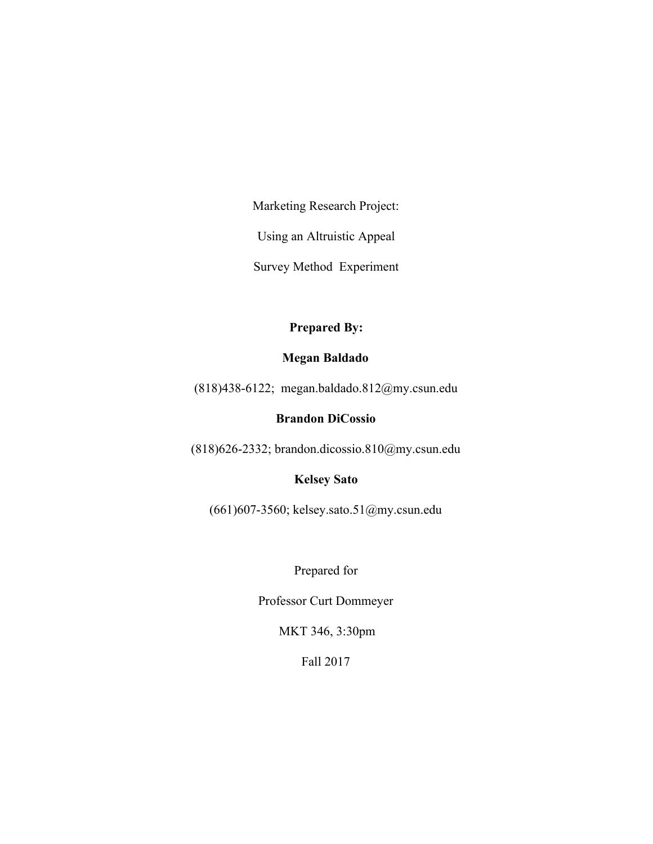Marketing Research Project:

Using an Altruistic Appeal

Survey Method Experiment

### **Prepared By:**

### **Megan Baldado**

(818)438-6122; megan.baldado.812@my.csun.edu

### **Brandon DiCossio**

(818)626-2332; brandon.dicossio.810@my.csun.edu

### **Kelsey Sato**

(661)607-3560; kelsey.sato.51@my.csun.edu

# Prepared for

Professor Curt Dommeyer

MKT 346, 3:30pm

### Fall 2017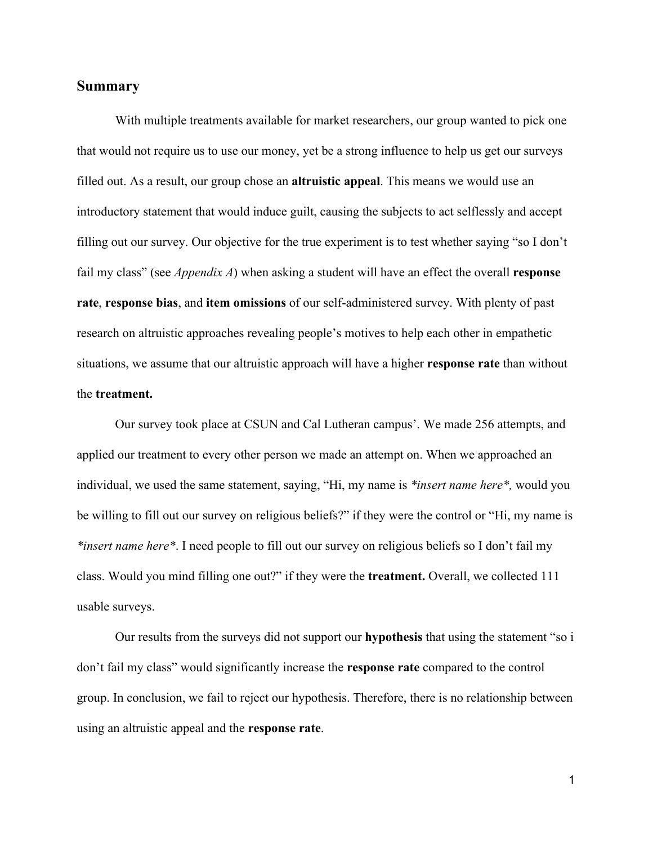#### **Summary**

With multiple treatments available for market researchers, our group wanted to pick one that would not require us to use our money, yet be a strong influence to help us get our surveys filled out. As a result, our group chose an **altruistic appeal**. This means we would use an introductory statement that would induce guilt, causing the subjects to act selflessly and accept filling out our survey. Our objective for the true experiment is to test whether saying "so I don't fail my class" (see *Appendix A*) when asking a student will have an effect the overall **response rate**, **response bias**, and **item omissions** of our self-administered survey. With plenty of past research on altruistic approaches revealing people's motives to help each other in empathetic situations, we assume that our altruistic approach will have a higher **response rate** than without the **treatment.**

Our survey took place at CSUN and Cal Lutheran campus'. We made 256 attempts, and applied our treatment to every other person we made an attempt on. When we approached an individual, we used the same statement, saying, "Hi, my name is *\*insert name here\*,* would you be willing to fill out our survey on religious beliefs?" if they were the control or "Hi, my name is *\*insert name here\**. I need people to fill out our survey on religious beliefs so I don't fail my class. Would you mind filling one out?" if they were the **treatment.** Overall, we collected 111 usable surveys.

Our results from the surveys did not support our **hypothesis** that using the statement "so i don't fail my class" would significantly increase the **response rate** compared to the control group. In conclusion, we fail to reject our hypothesis. Therefore, there is no relationship between using an altruistic appeal and the **response rate**.

1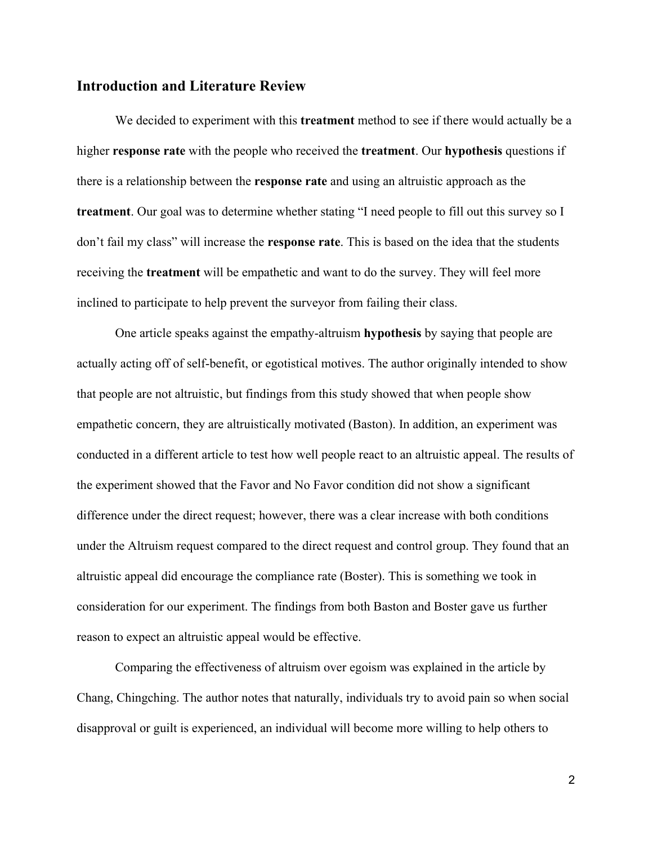#### **Introduction and Literature Review**

We decided to experiment with this **treatment** method to see if there would actually be a higher **response rate** with the people who received the **treatment**. Our **hypothesis** questions if there is a relationship between the **response rate** and using an altruistic approach as the **treatment**. Our goal was to determine whether stating "I need people to fill out this survey so I don't fail my class" will increase the **response rate**. This is based on the idea that the students receiving the **treatment** will be empathetic and want to do the survey. They will feel more inclined to participate to help prevent the surveyor from failing their class.

One article speaks against the empathy-altruism **hypothesis** by saying that people are actually acting off of self-benefit, or egotistical motives. The author originally intended to show that people are not altruistic, but findings from this study showed that when people show empathetic concern, they are altruistically motivated (Baston). In addition, an experiment was conducted in a different article to test how well people react to an altruistic appeal. The results of the experiment showed that the Favor and No Favor condition did not show a significant difference under the direct request; however, there was a clear increase with both conditions under the Altruism request compared to the direct request and control group. They found that an altruistic appeal did encourage the compliance rate (Boster). This is something we took in consideration for our experiment. The findings from both Baston and Boster gave us further reason to expect an altruistic appeal would be effective.

Comparing the effectiveness of altruism over egoism was explained in the article by Chang, Chingching. The author notes that naturally, individuals try to avoid pain so when social disapproval or guilt is experienced, an individual will become more willing to help others to

2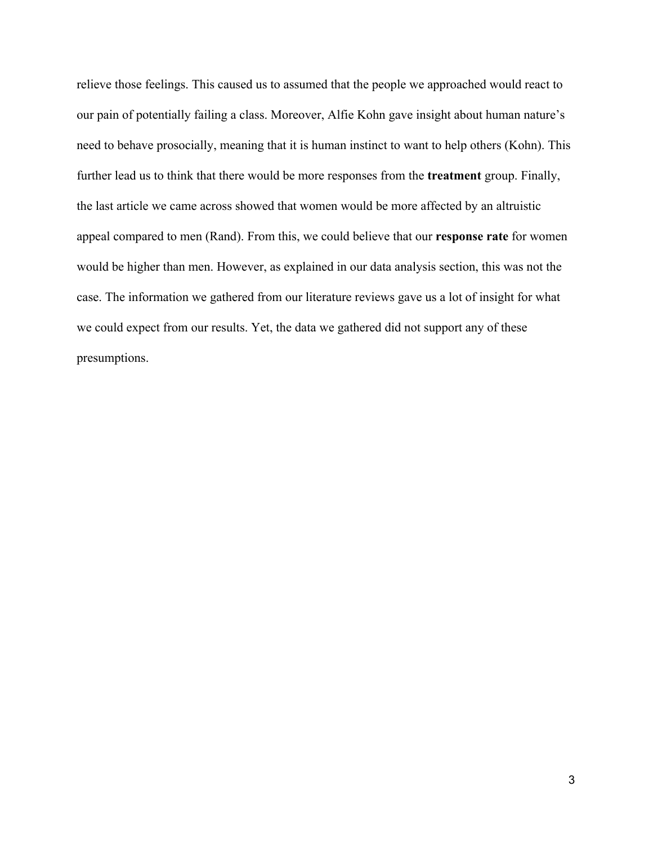relieve those feelings. This caused us to assumed that the people we approached would react to our pain of potentially failing a class. Moreover, Alfie Kohn gave insight about human nature's need to behave prosocially, meaning that it is human instinct to want to help others (Kohn). This further lead us to think that there would be more responses from the **treatment** group. Finally, the last article we came across showed that women would be more affected by an altruistic appeal compared to men (Rand). From this, we could believe that our **response rate** for women would be higher than men. However, as explained in our data analysis section, this was not the case. The information we gathered from our literature reviews gave us a lot of insight for what we could expect from our results. Yet, the data we gathered did not support any of these presumptions.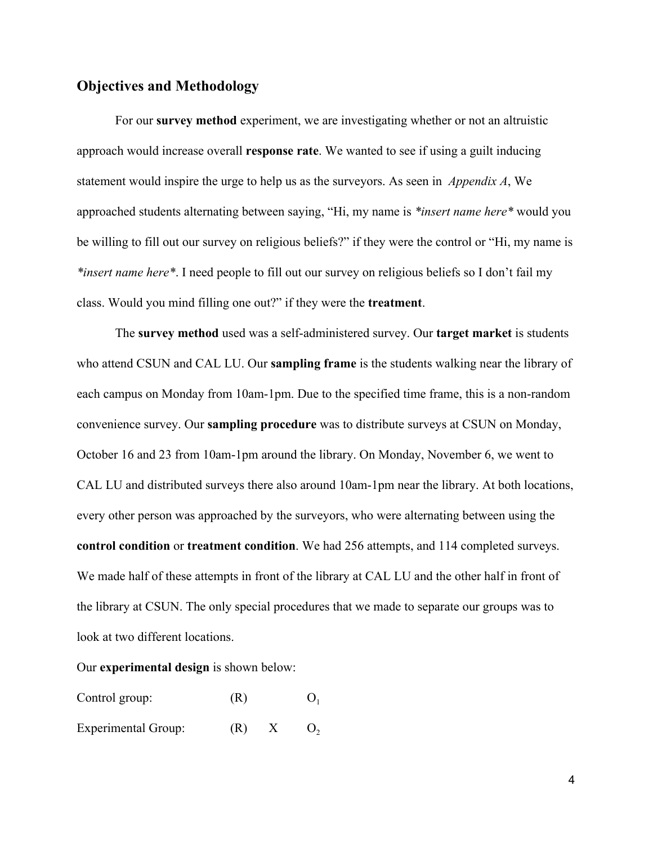#### **Objectives and Methodology**

For our **survey method** experiment, we are investigating whether or not an altruistic approach would increase overall **response rate**. We wanted to see if using a guilt inducing statement would inspire the urge to help us as the surveyors. As seen in *Appendix A*, We approached students alternating between saying, "Hi, my name is *\*insert name here\** would you be willing to fill out our survey on religious beliefs?" if they were the control or "Hi, my name is *\*insert name here\**. I need people to fill out our survey on religious beliefs so I don't fail my class. Would you mind filling one out?" if they were the **treatment**.

The **survey method** used was a self-administered survey. Our **target market** is students who attend CSUN and CAL LU. Our **sampling frame** is the students walking near the library of each campus on Monday from 10am-1pm. Due to the specified time frame, this is a non-random convenience survey. Our **sampling procedure** was to distribute surveys at CSUN on Monday, October 16 and 23 from 10am-1pm around the library. On Monday, November 6, we went to CAL LU and distributed surveys there also around 10am-1pm near the library. At both locations, every other person was approached by the surveyors, who were alternating between using the **control condition** or **treatment condition**. We had 256 attempts, and 114 completed surveys. We made half of these attempts in front of the library at CAL LU and the other half in front of the library at CSUN. The only special procedures that we made to separate our groups was to look at two different locations.

Our **experimental design** is shown below:

Control group:  $(R)$   $O<sub>1</sub>$ Experimental Group:  $(R)$   $X$   $O<sub>2</sub>$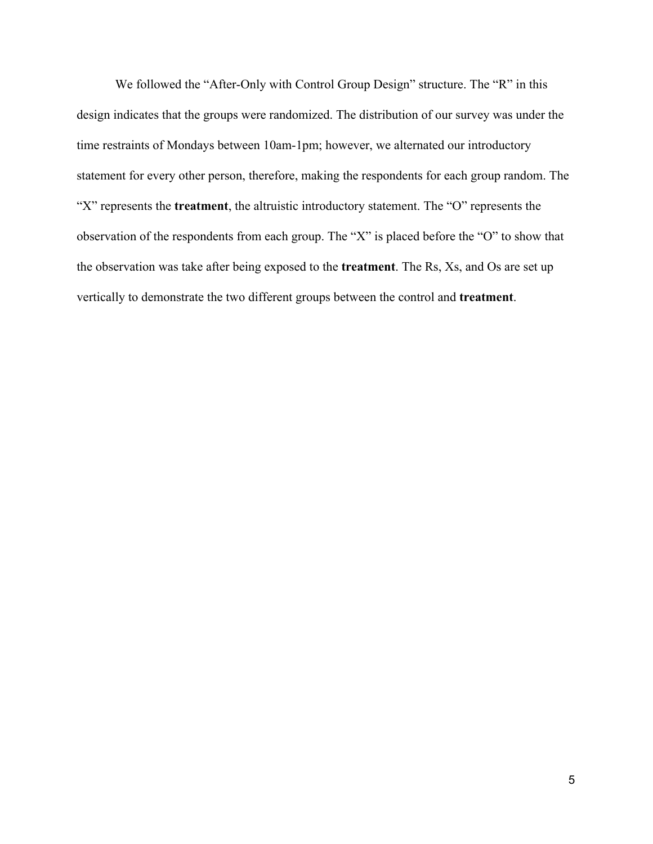We followed the "After-Only with Control Group Design" structure. The "R" in this design indicates that the groups were randomized. The distribution of our survey was under the time restraints of Mondays between 10am-1pm; however, we alternated our introductory statement for every other person, therefore, making the respondents for each group random. The "X" represents the **treatment**, the altruistic introductory statement. The "O" represents the observation of the respondents from each group. The "X" is placed before the "O" to show that the observation was take after being exposed to the **treatment**. The Rs, Xs, and Os are set up vertically to demonstrate the two different groups between the control and **treatment**.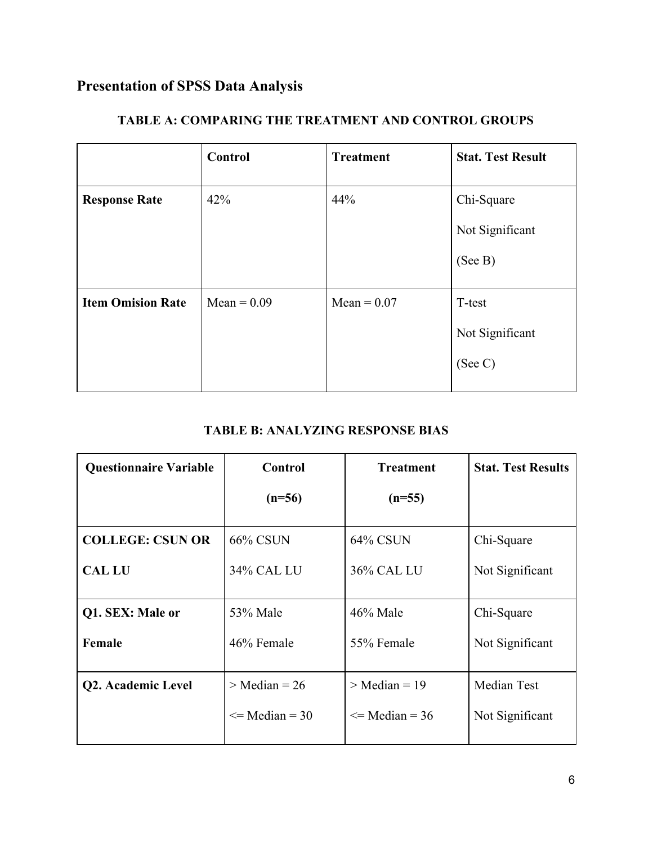# **Presentation of SPSS Data Analysis**

|                          | <b>Control</b> | <b>Treatment</b> | <b>Stat. Test Result</b> |
|--------------------------|----------------|------------------|--------------------------|
| <b>Response Rate</b>     | 42%            | 44%              | Chi-Square               |
|                          |                |                  | Not Significant          |
|                          |                |                  | (See B)                  |
| <b>Item Omision Rate</b> | Mean = $0.09$  | $Mean = 0.07$    | T-test                   |
|                          |                |                  | Not Significant          |
|                          |                |                  | (See C)                  |
|                          |                |                  |                          |

### **TABLE A: COMPARING THE TREATMENT AND CONTROL GROUPS**

# **TABLE B: ANALYZING RESPONSE BIAS**

| <b>Questionnaire Variable</b> | Control            | <b>Treatment</b>  | <b>Stat. Test Results</b> |
|-------------------------------|--------------------|-------------------|---------------------------|
|                               | $(n=56)$           | $(n=55)$          |                           |
| <b>COLLEGE: CSUN OR</b>       | <b>66% CSUN</b>    | <b>64% CSUN</b>   | Chi-Square                |
| <b>CAL LU</b>                 | 34% CAL LU         | <b>36% CAL LU</b> | Not Significant           |
| Q1. SEX: Male or              | 53% Male           | 46% Male          | Chi-Square                |
| Female                        | 46% Female         | 55% Female        | Not Significant           |
| Q2. Academic Level            | $>$ Median = 26    | $>$ Median = 19   | <b>Median Test</b>        |
|                               | $\leq$ Median = 30 | $\le$ Median = 36 | Not Significant           |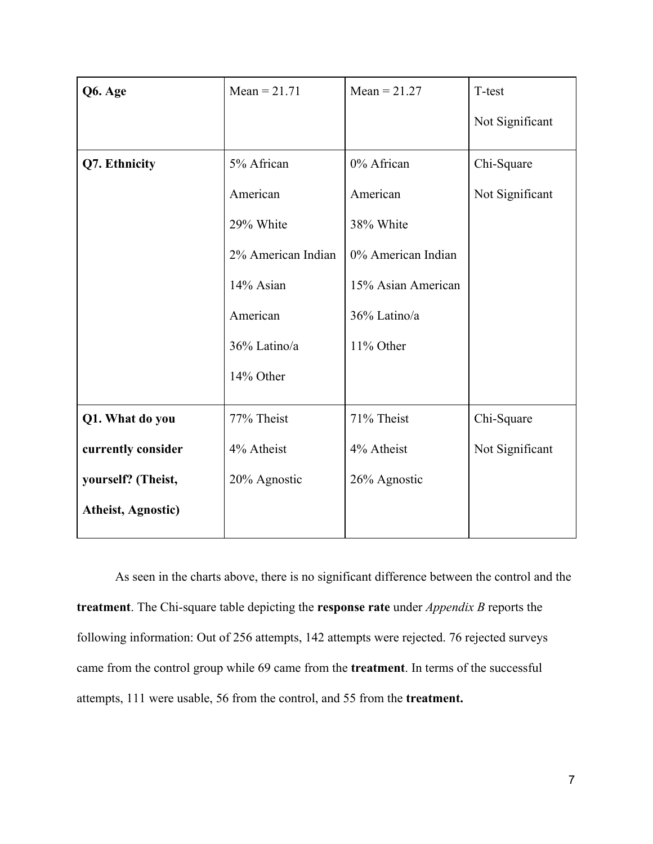| Q6. Age                   | Mean = $21.71$     | Mean = $21.27$     | T-test          |
|---------------------------|--------------------|--------------------|-----------------|
|                           |                    |                    | Not Significant |
| Q7. Ethnicity             | 5% African         | 0% African         | Chi-Square      |
|                           | American           | American           | Not Significant |
|                           | 29% White          | 38% White          |                 |
|                           | 2% American Indian | 0% American Indian |                 |
|                           | 14% Asian          | 15% Asian American |                 |
|                           | American           | 36% Latino/a       |                 |
|                           | 36% Latino/a       | 11% Other          |                 |
|                           | 14% Other          |                    |                 |
| Q1. What do you           | 77% Theist         | 71% Theist         | Chi-Square      |
| currently consider        | 4% Atheist         | 4% Atheist         | Not Significant |
| yourself? (Theist,        | 20% Agnostic       | 26% Agnostic       |                 |
| <b>Atheist, Agnostic)</b> |                    |                    |                 |

As seen in the charts above, there is no significant difference between the control and the **treatment**. The Chi-square table depicting the **response rate** under *Appendix B* reports the following information: Out of 256 attempts, 142 attempts were rejected. 76 rejected surveys came from the control group while 69 came from the **treatment**. In terms of the successful attempts, 111 were usable, 56 from the control, and 55 from the **treatment.**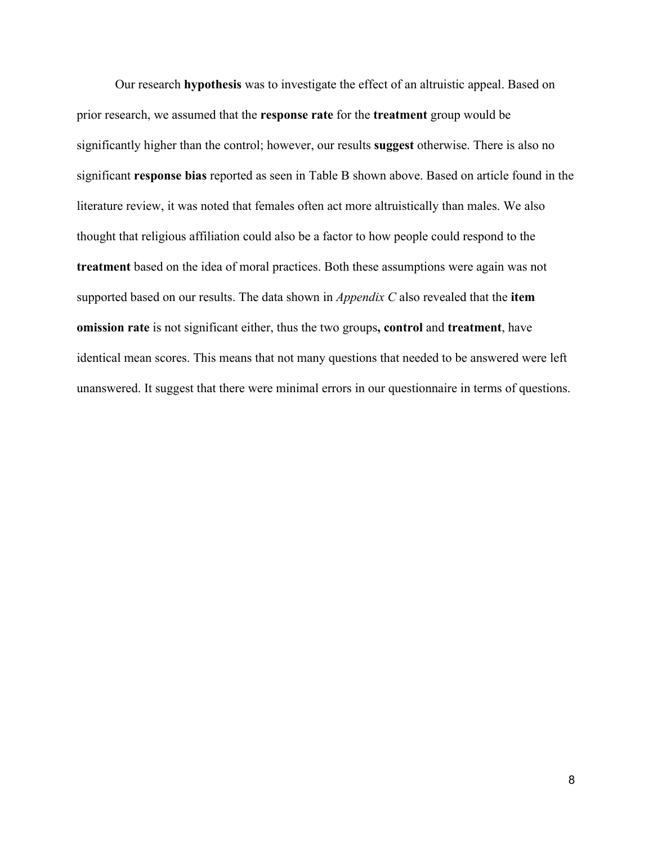Our research **hypothesis** was to investigate the effect of an altruistic appeal. Based on prior research, we assumed that the **response rate** for the **treatment** group would be significantly higher than the control; however, our results **suggest** otherwise. There is also no significant **response bias** reported as seen in Table B shown above. Based on article found in the literature review, it was noted that females often act more altruistically than males. We also thought that religious affiliation could also be a factor to how people could respond to the **treatment** based on the idea of moral practices. Both these assumptions were again was not supported based on our results. The data shown in *Appendix C* also revealed that the **item omission rate** is not significant either, thus the two groups**, control** and **treatment**, have identical mean scores. This means that not many questions that needed to be answered were left unanswered. It suggest that there were minimal errors in our questionnaire in terms of questions.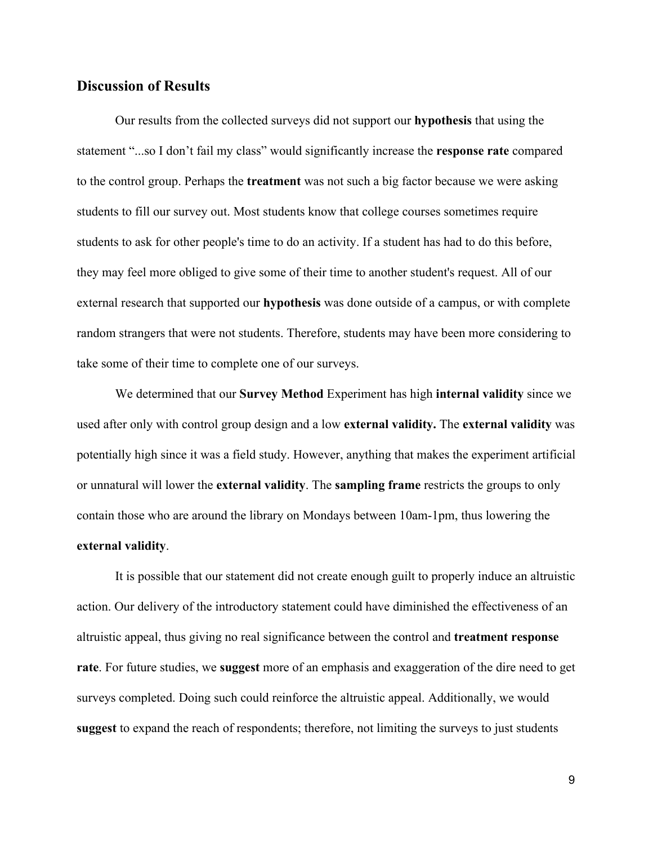#### **Discussion of Results**

Our results from the collected surveys did not support our **hypothesis** that using the statement "...so I don't fail my class" would significantly increase the **response rate** compared to the control group. Perhaps the **treatment** was not such a big factor because we were asking students to fill our survey out. Most students know that college courses sometimes require students to ask for other people's time to do an activity. If a student has had to do this before, they may feel more obliged to give some of their time to another student's request. All of our external research that supported our **hypothesis** was done outside of a campus, or with complete random strangers that were not students. Therefore, students may have been more considering to take some of their time to complete one of our surveys.

We determined that our **Survey Method** Experiment has high **internal validity** since we used after only with control group design and a low **external validity.** The **external validity** was potentially high since it was a field study. However, anything that makes the experiment artificial or unnatural will lower the **external validity**. The **sampling frame** restricts the groups to only contain those who are around the library on Mondays between 10am-1pm, thus lowering the **external validity**.

It is possible that our statement did not create enough guilt to properly induce an altruistic action. Our delivery of the introductory statement could have diminished the effectiveness of an altruistic appeal, thus giving no real significance between the control and **treatment response rate**. For future studies, we **suggest** more of an emphasis and exaggeration of the dire need to get surveys completed. Doing such could reinforce the altruistic appeal. Additionally, we would **suggest** to expand the reach of respondents; therefore, not limiting the surveys to just students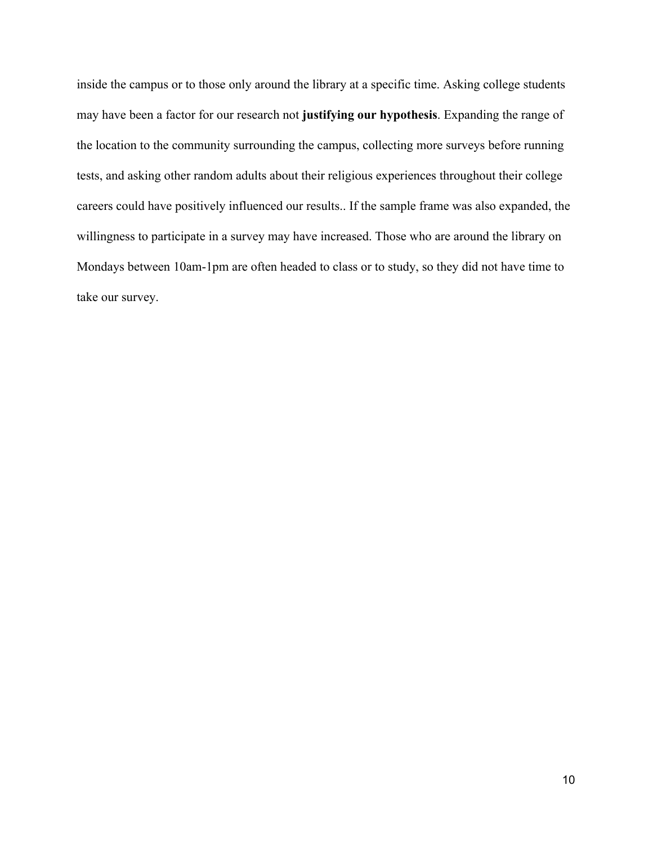inside the campus or to those only around the library at a specific time. Asking college students may have been a factor for our research not **justifying our hypothesis**. Expanding the range of the location to the community surrounding the campus, collecting more surveys before running tests, and asking other random adults about their religious experiences throughout their college careers could have positively influenced our results.. If the sample frame was also expanded, the willingness to participate in a survey may have increased. Those who are around the library on Mondays between 10am-1pm are often headed to class or to study, so they did not have time to take our survey.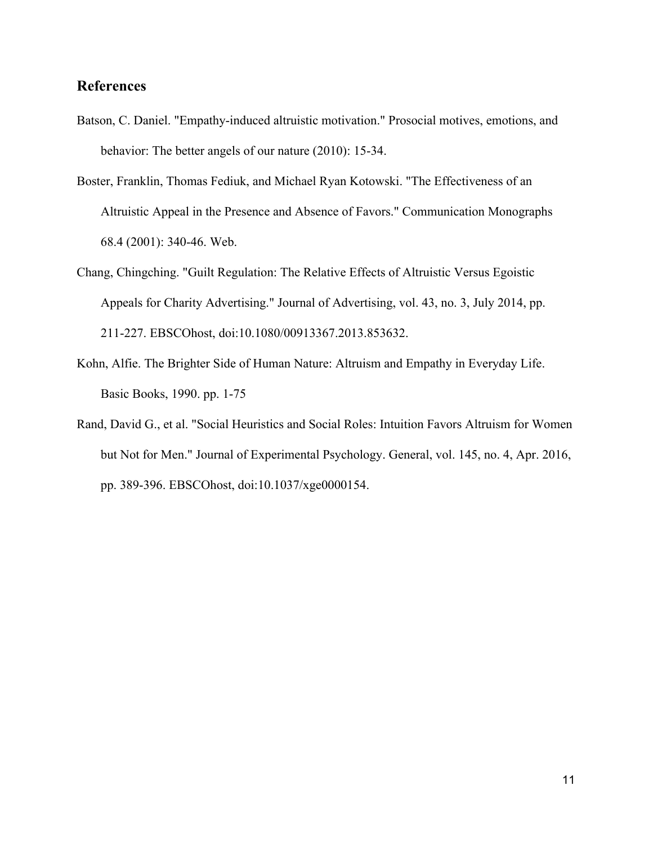# **References**

- Batson, C. Daniel. "Empathy-induced altruistic motivation." Prosocial motives, emotions, and behavior: The better angels of our nature (2010): 15-34.
- Boster, Franklin, Thomas Fediuk, and Michael Ryan Kotowski. "The Effectiveness of an Altruistic Appeal in the Presence and Absence of Favors." Communication Monographs 68.4 (2001): 340-46. Web.
- Chang, Chingching. "Guilt Regulation: The Relative Effects of Altruistic Versus Egoistic Appeals for Charity Advertising." Journal of Advertising, vol. 43, no. 3, July 2014, pp. 211-227. EBSCOhost, doi:10.1080/00913367.2013.853632.
- Kohn, Alfie. The Brighter Side of Human Nature: Altruism and Empathy in Everyday Life. Basic Books, 1990. pp. 1-75
- Rand, David G., et al. "Social Heuristics and Social Roles: Intuition Favors Altruism for Women but Not for Men." Journal of Experimental Psychology. General, vol. 145, no. 4, Apr. 2016, pp. 389-396. EBSCOhost, doi:10.1037/xge0000154.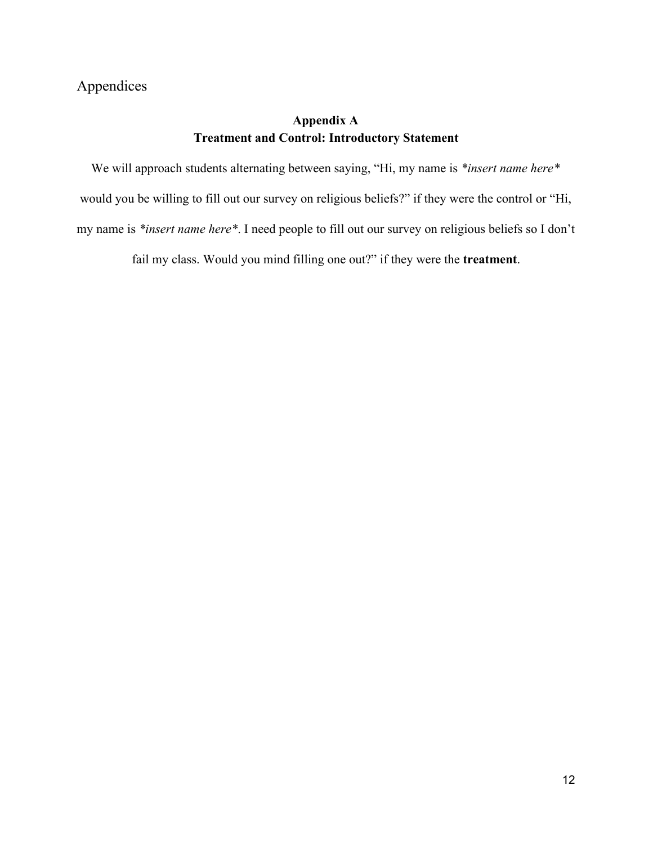# Appendices

# **Appendix A Treatment and Control: Introductory Statement**

We will approach students alternating between saying, "Hi, my name is *\*insert name here\** would you be willing to fill out our survey on religious beliefs?" if they were the control or "Hi, my name is *\*insert name here\**. I need people to fill out our survey on religious beliefs so I don't

fail my class. Would you mind filling one out?" if they were the **treatment**.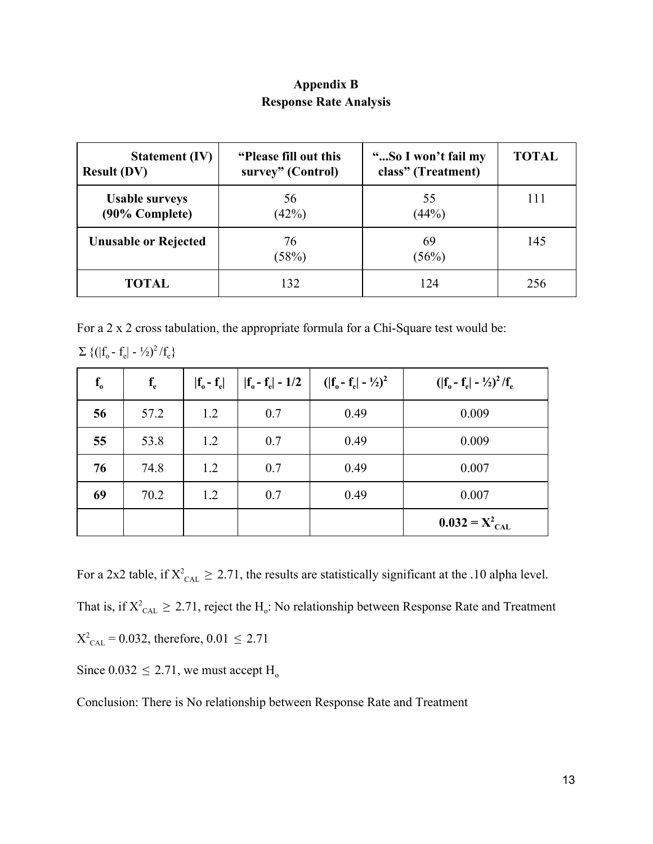# **Appendix B Response Rate Analysis**

| <b>Statement (IV)</b>       | "Please fill out this" | "So I won't fail my | <b>TOTAL</b> |  |
|-----------------------------|------------------------|---------------------|--------------|--|
| <b>Result (DV)</b>          | survey" (Control)      | class" (Treatment)  |              |  |
| <b>Usable surveys</b>       | 56                     | 55                  | 111          |  |
| (90% Complete)              | (42%)                  | (44%)               |              |  |
| <b>Unusable or Rejected</b> | 76<br>(58%)            | 69<br>(56%)         | 145          |  |
| TOTAL                       | 132                    | 124                 | 256          |  |

For a 2 x 2 cross tabulation, the appropriate formula for a Chi-Square test would be:

|  |  |  |  | $\Sigma \left\{ (\left  f_{o} - f_{e} \right  - \frac{1}{2})^{2} / f_{e} \right\}$ |
|--|--|--|--|------------------------------------------------------------------------------------|
|--|--|--|--|------------------------------------------------------------------------------------|

| $f_{o}$ | $f_e$ | $\left  \mathbf{f}_{o} - \mathbf{f}_{e} \right $ | $ f_{o} - f_{e}  - 1/2$ | $( f_0 - f_e  - \frac{1}{2})^2$ | $( f_0 - f_e  - \frac{1}{2})^2 / f_e$ |
|---------|-------|--------------------------------------------------|-------------------------|---------------------------------|---------------------------------------|
| 56      | 57.2  | 1.2                                              | 0.7                     | 0.49                            | 0.009                                 |
| 55      | 53.8  | 1.2                                              | 0.7                     | 0.49                            | 0.009                                 |
| 76      | 74.8  | 1.2                                              | 0.7                     | 0.49                            | 0.007                                 |
| 69      | 70.2  | 1.2                                              | 0.7                     | 0.49                            | 0.007                                 |
|         |       |                                                  |                         |                                 | $0.032 = X^2_{\text{CAL}}$            |

For a 2x2 table, if  $X^2_{\text{CAL}} \geq 2.71$ , the results are statistically significant at the .10 alpha level.

That is, if  $X_{\text{CAL}}^2 \geq 2.71$ , reject the H<sub>0</sub>: No relationship between Response Rate and Treatment

 $X_{\text{CAL}}^2 = 0.032$ , therefore,  $0.01 \le 2.71$ 

Since  $0.032 \le 2.71$ , we must accept H<sub>o</sub>

Conclusion: There is No relationship between Response Rate and Treatment